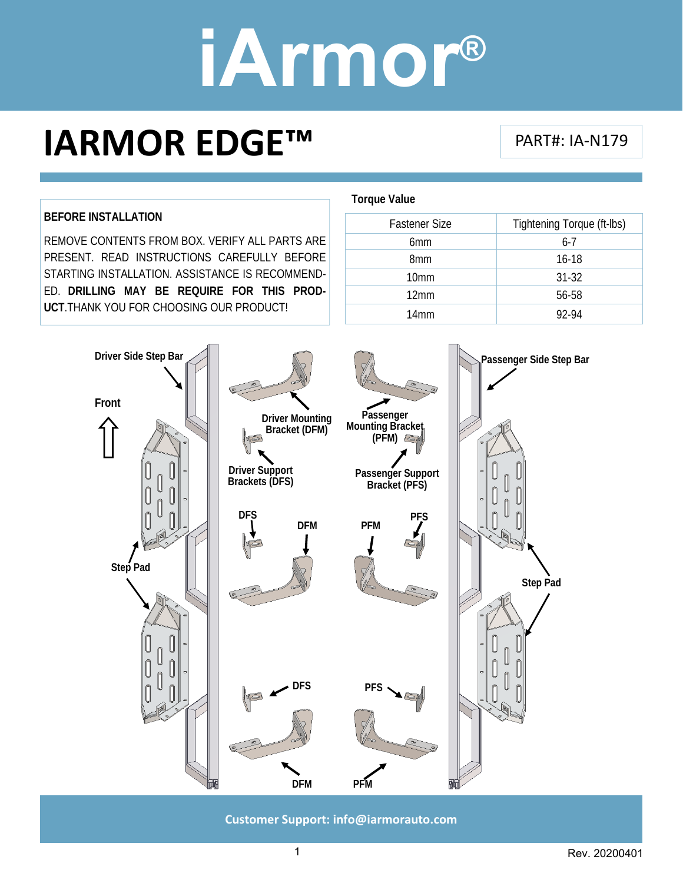## **IARMOR EDGE™**

#### PART#: IA‐N179

#### **BEFORE INSTALLATION**

REMOVE CONTENTS FROM BOX. VERIFY ALL PARTS ARE PRESENT. READ INSTRUCTIONS CAREFULLY BEFORE STARTING INSTALLATION. ASSISTANCE IS RECOMMEND-ED. **DRILLING MAY BE REQUIRE FOR THIS PROD-UCT**.THANK YOU FOR CHOOSING OUR PRODUCT!

#### **Torque Value**

| Tightening Torque (ft-lbs) |
|----------------------------|
| $6 - 7$                    |
| $16-18$                    |
| $31 - 32$                  |
| 56-58                      |
| 92-94                      |
|                            |



**Customer Support: info@iarmorauto.com** 

1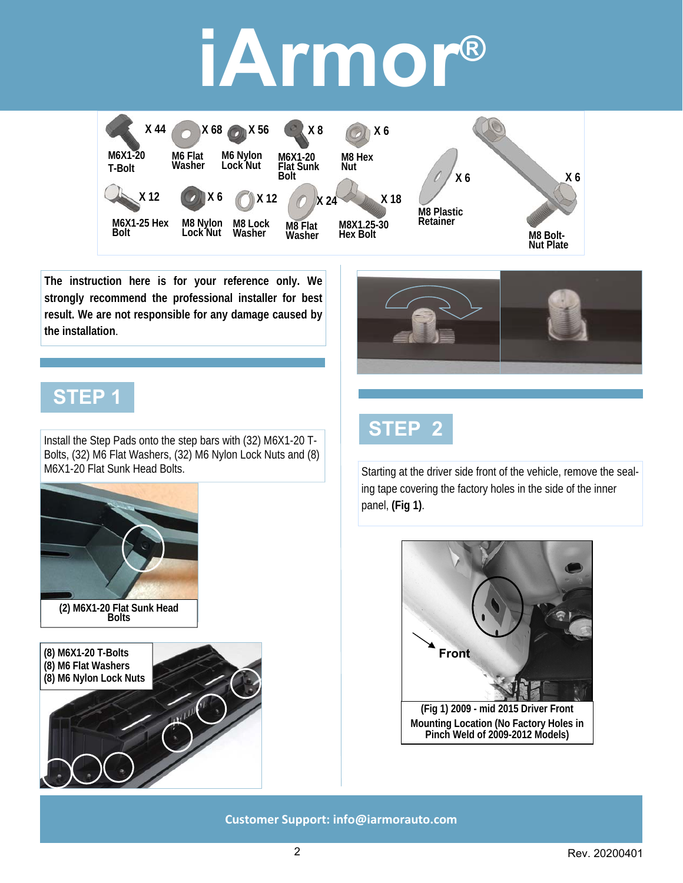

**The instruction here is for your reference only. We strongly recommend the professional installer for best result. We are not responsible for any damage caused by the installation**.

### **STEP 1**

Install the Step Pads onto the step bars with (32) M6X1-20 T-Bolts, (32) M6 Flat Washers, (32) M6 Nylon Lock Nuts and (8) M6X1-20 Flat Sunk Head Bolts.



**(2) M6X1-20 Flat Sunk Head Bolts** 





Starting at the driver side front of the vehicle, remove the sealing tape covering the factory holes in the side of the inner panel, **(Fig 1)**.

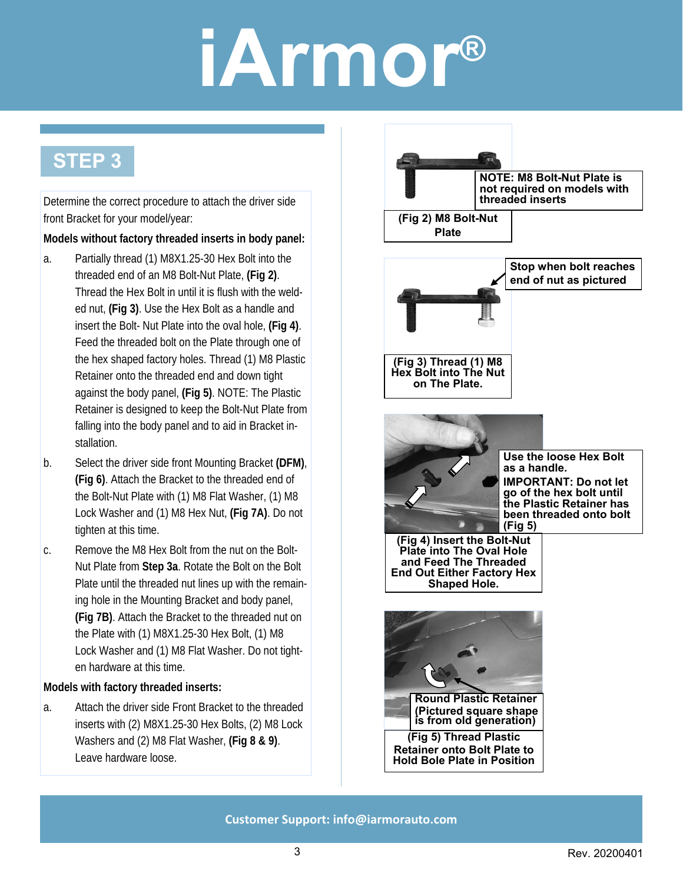### **STEP 3**

Determine the correct procedure to attach the driver side front Bracket for your model/year:

#### **Models without factory threaded inserts in body panel:**

- a. Partially thread (1) M8X1.25-30 Hex Bolt into the threaded end of an M8 Bolt-Nut Plate, **(Fig 2)**. Thread the Hex Bolt in until it is flush with the welded nut, **(Fig 3)**. Use the Hex Bolt as a handle and insert the Bolt- Nut Plate into the oval hole, **(Fig 4)**. Feed the threaded bolt on the Plate through one of the hex shaped factory holes. Thread (1) M8 Plastic Retainer onto the threaded end and down tight against the body panel, **(Fig 5)**. NOTE: The Plastic Retainer is designed to keep the Bolt-Nut Plate from falling into the body panel and to aid in Bracket installation.
- b. Select the driver side front Mounting Bracket **(DFM)**, **(Fig 6)**. Attach the Bracket to the threaded end of the Bolt-Nut Plate with (1) M8 Flat Washer, (1) M8 Lock Washer and (1) M8 Hex Nut, **(Fig 7A)**. Do not tighten at this time.
- c. Remove the M8 Hex Bolt from the nut on the Bolt-Nut Plate from **Step 3a**. Rotate the Bolt on the Bolt Plate until the threaded nut lines up with the remaining hole in the Mounting Bracket and body panel, **(Fig 7B)**. Attach the Bracket to the threaded nut on the Plate with (1) M8X1.25-30 Hex Bolt, (1) M8 Lock Washer and (1) M8 Flat Washer. Do not tighten hardware at this time.

#### **Models with factory threaded inserts:**

a. Attach the driver side Front Bracket to the threaded inserts with (2) M8X1.25-30 Hex Bolts, (2) M8 Lock Washers and (2) M8 Flat Washer, **(Fig 8 & 9)**. Leave hardware loose.

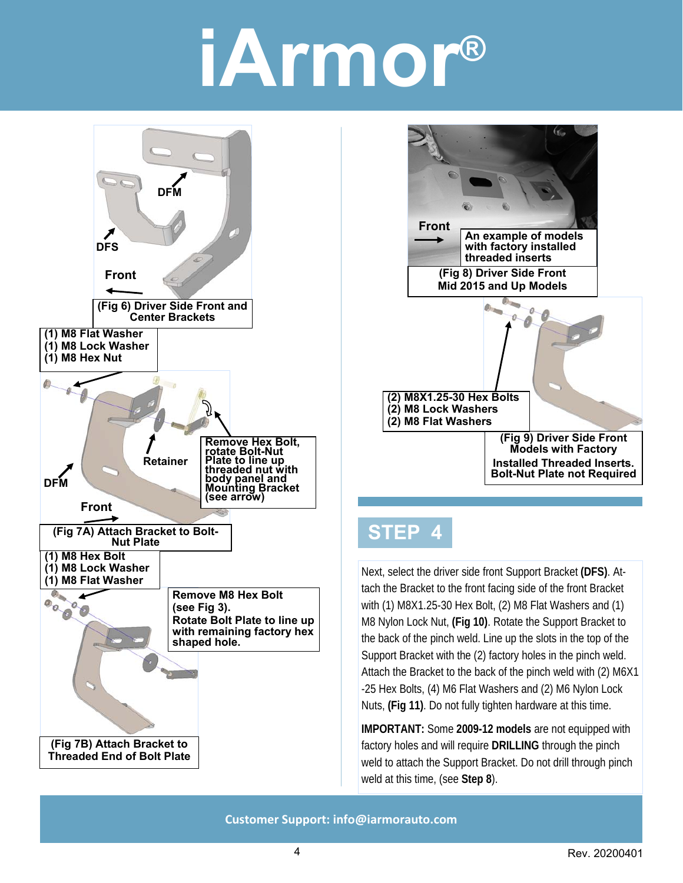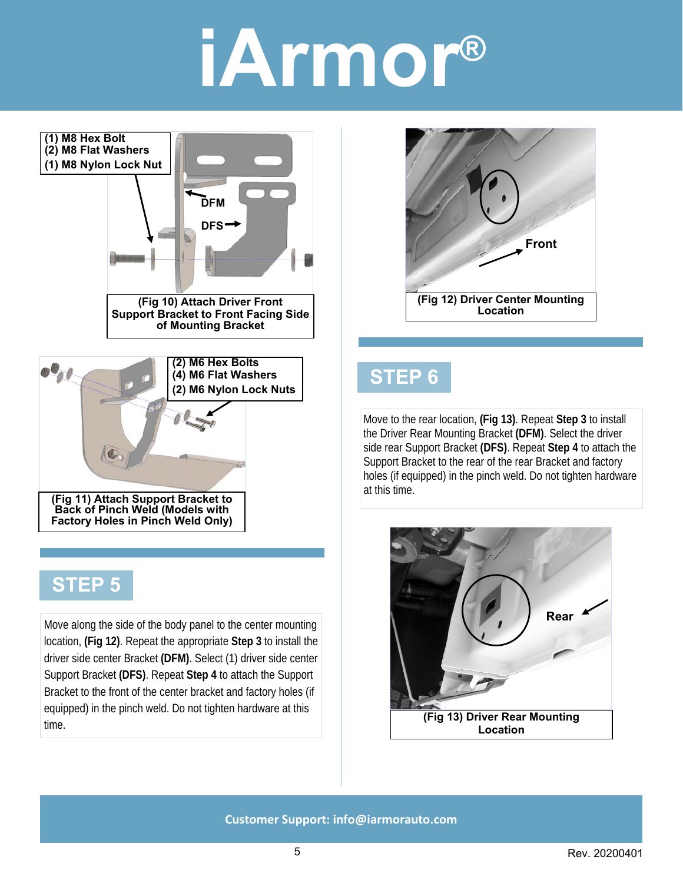

### **STEP 5**

Move along the side of the body panel to the center mounting location, **(Fig 12)**. Repeat the appropriate **Step 3** to install the driver side center Bracket **(DFM)**. Select (1) driver side center Support Bracket **(DFS)**. Repeat **Step 4** to attach the Support Bracket to the front of the center bracket and factory holes (if equipped) in the pinch weld. Do not tighten hardware at this time.



### **STEP 6**

Move to the rear location, **(Fig 13)**. Repeat **Step 3** to install the Driver Rear Mounting Bracket **(DFM)**. Select the driver side rear Support Bracket **(DFS)**. Repeat **Step 4** to attach the Support Bracket to the rear of the rear Bracket and factory holes (if equipped) in the pinch weld. Do not tighten hardware at this time.